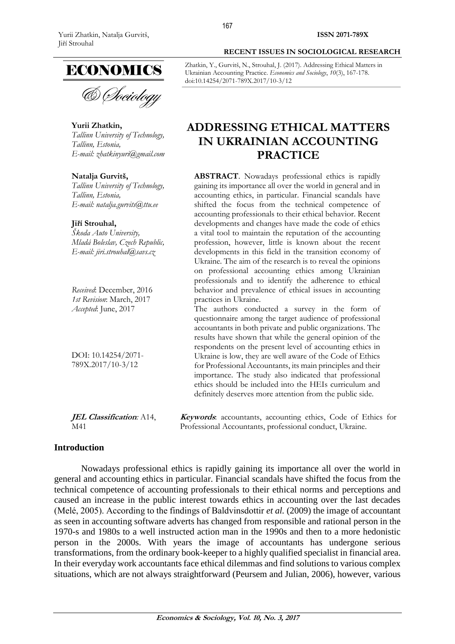

& *Dociology* 

## **Yurii Zhatkin,**

*Tallinn University of Technology, Tallinn, Estonia, E-mail: [zhatkinyuri@gmail.com](mailto:zhatkinyuri@gmail.com)*

#### **Natalja Gurvitš,**

*Tallinn University of Technology, Tallinn, Estonia, E-mail: [natalja.gurvits@ttu.ee](mailto:natalja.gurvits@ttu.ee)*

#### **Jiří Strouhal,**

*Škoda Auto University, Mladá Boleslav, Czech Republic, E-mail: [jiri.strouhal@savs.cz](mailto:jiri.strouhal@savs.cz)*

*Received*: December, 2016 *1st Revision*: March, 2017 *Accepted*: June, 2017

DOI: 10.14254/2071- 789X.2017/10-3/12

**JEL Classification***:* A14, M41

**Keywords**: accountants, accounting ethics, Code of Ethics for Professional Accountants, professional conduct, Ukraine.

# **Introduction**

Nowadays professional ethics is rapidly gaining its importance all over the world in general and accounting ethics in particular. Financial scandals have shifted the focus from the technical competence of accounting professionals to their ethical norms and perceptions and caused an increase in the public interest towards ethics in accounting over the last decades (Melé, 2005). According to the findings of Baldvinsdottir *et al.* (2009) the image of accountant as seen in accounting software adverts has changed from responsible and rational person in the 1970-s and 1980s to a well instructed action man in the 1990s and then to a more hedonistic person in the 2000s. With years the image of accountants has undergone serious transformations, from the ordinary book-keeper to a highly qualified specialist in financial area. In their everyday work accountants face ethical dilemmas and find solutions to various complex situations, which are not always straightforward (Peursem and Julian, 2006), however, various

Zhatkin, Y., Gurvitš, N., Strouhal, J. (2017). Addressing Ethical Matters in Ukrainian Accounting Practice. *Economics and Sociology*, *10*(3), 167-178. doi:10.14254/2071-789X.2017/10-3/12

# **ADDRESSING ETHICAL MATTERS IN UKRAINIAN ACCOUNTING PRACTICE**

**ABSTRACT**. Nowadays professional ethics is rapidly gaining its importance all over the world in general and in accounting ethics, in particular. Financial scandals have shifted the focus from the technical competence of accounting professionals to their ethical behavior. Recent developments and changes have made the code of ethics a vital tool to maintain the reputation of the accounting profession, however, little is known about the recent developments in this field in the transition economy of Ukraine. The aim of the research is to reveal the opinions on professional accounting ethics among Ukrainian professionals and to identify the adherence to ethical behavior and prevalence of ethical issues in accounting practices in Ukraine.

The authors conducted a survey in the form of questionnaire among the target audience of professional accountants in both private and public organizations. The results have shown that while the general opinion of the respondents on the present level of accounting ethics in Ukraine is low, they are well aware of the Code of Ethics for Professional Accountants, its main principles and their importance. The study also indicated that professional ethics should be included into the HEIs curriculum and definitely deserves more attention from the public side.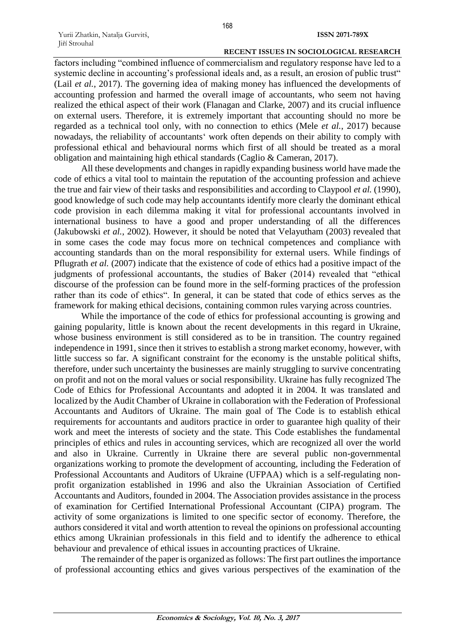factors including "combined influence of commercialism and regulatory response have led to a systemic decline in accounting's professional ideals and, as a result, an erosion of public trust" (Lail *et al.*, 2017). The governing idea of making money has influenced the developments of accounting profession and harmed the overall image of accountants, who seem not having realized the ethical aspect of their work (Flanagan and Clarke, 2007) and its crucial influence on external users. Therefore, it is extremely important that accounting should no more be regarded as a technical tool only, with no connection to ethics (Mele *et al.*, 2017) because nowadays, the reliability of accountants' work often depends on their ability to comply with professional ethical and behavioural norms which first of all should be treated as a moral obligation and maintaining high ethical standards (Caglio & Cameran, 2017).

All these developments and changes in rapidly expanding business world have made the code of ethics a vital tool to maintain the reputation of the accounting profession and achieve the true and fair view of their tasks and responsibilities and according to Claypool *et al.* (1990), good knowledge of such code may help accountants identify more clearly the dominant ethical code provision in each dilemma making it vital for professional accountants involved in international business to have a good and proper understanding of all the differences (Jakubowski *et al.*, 2002). However, it should be noted that Velayutham (2003) revealed that in some cases the code may focus more on technical competences and compliance with accounting standards than on the moral responsibility for external users. While findings of Pflugrath *et al.* (2007) indicate that the existence of code of ethics had a positive impact of the judgments of professional accountants, the studies of Baker (2014) revealed that "ethical discourse of the profession can be found more in the self-forming practices of the profession rather than its code of ethics". In general, it can be stated that code of ethics serves as the framework for making ethical decisions, containing common rules varying across countries.

While the importance of the code of ethics for professional accounting is growing and gaining popularity, little is known about the recent developments in this regard in Ukraine, whose business environment is still considered as to be in transition. The country regained independence in 1991, since then it strives to establish a strong market economy, however, with little success so far. A significant constraint for the economy is the unstable political shifts, therefore, under such uncertainty the businesses are mainly struggling to survive concentrating on profit and not on the moral values or social responsibility. Ukraine has fully recognized The Code of Ethics for Professional Accountants and adopted it in 2004. It was translated and localized by the Audit Chamber of Ukraine in collaboration with the Federation of Professional Accountants and Auditors of Ukraine. The main goal of The Code is to establish ethical requirements for accountants and auditors practice in order to guarantee high quality of their work and meet the interests of society and the state. This Code establishes the fundamental principles of ethics and rules in accounting services, which are recognized all over the world and also in Ukraine. Currently in Ukraine there are several public non-governmental organizations working to promote the development of accounting, including the Federation of Professional Accountants and Auditors of Ukraine (UFPAA) which is a self-regulating nonprofit organization established in 1996 and also the Ukrainian Association of Certified Accountants and Auditors, founded in 2004. The Association provides assistance in the process of examination for Certified International Professional Accountant (CIPA) program. The activity of some organizations is limited to one specific sector of economy. Therefore, the authors considered it vital and worth attention to reveal the opinions on professional accounting ethics among Ukrainian professionals in this field and to identify the adherence to ethical behaviour and prevalence of ethical issues in accounting practices of Ukraine.

The remainder of the paper is organized as follows: The first part outlines the importance of professional accounting ethics and gives various perspectives of the examination of the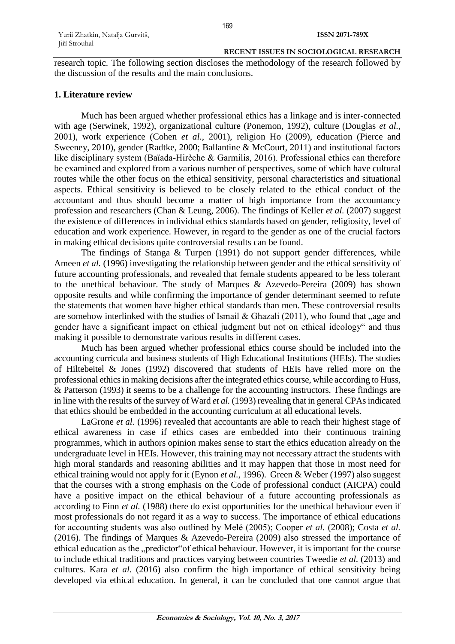research topic. The following section discloses the methodology of the research followed by the discussion of the results and the main conclusions.

## **1. Literature review**

Much has been argued whether professional ethics has a linkage and is inter-connected with age (Serwinek, 1992), organizational culture (Ponemon, 1992), culture (Douglas *et al.*, 2001), work experience (Cohen *et al.*, 2001), religion Ho (2009), education (Pierce and Sweeney, 2010), gender (Radtke, 2000; Ballantine & McCourt, 2011) and institutional factors like disciplinary system (Baïada-Hirèche & Garmilis, 2016). Professional ethics can therefore be examined and explored from a various number of perspectives, some of which have cultural routes while the other focus on the ethical sensitivity, personal characteristics and situational aspects. Ethical sensitivity is believed to be closely related to the ethical conduct of the accountant and thus should become a matter of high importance from the accountancy profession and researchers (Chan & Leung, 2006). The findings of Keller *et al.* (2007) suggest the existence of differences in individual ethics standards based on gender, religiosity, level of education and work experience. However, in regard to the gender as one of the crucial factors in making ethical decisions quite controversial results can be found.

The findings of Stanga & Turpen (1991) do not support gender differences, while Ameen *et al.* (1996) investigating the relationship between gender and the ethical sensitivity of future accounting professionals, and revealed that female students appeared to be less tolerant to the unethical behaviour. The study of Marques & Azevedo-Pereira (2009) has shown opposite results and while confirming the importance of gender determinant seemed to refute the statements that women have higher ethical standards than men. These controversial results are somehow interlinked with the studies of Ismail  $& Ghazali (2011)$ , who found that , age and gender have a significant impact on ethical judgment but not on ethical ideology" and thus making it possible to demonstrate various results in different cases.

Much has been argued whether professional ethics course should be included into the accounting curricula and business students of High Educational Institutions (HEIs). The studies of Hiltebeitel & Jones (1992) discovered that students of HEIs have relied more on the professional ethics in making decisions after the integrated ethics course, while according to Huss, & Patterson (1993) it seems to be a challenge for the accounting instructors. These findings are in line with the results of the survey of Ward *et al.* (1993) revealing that in general CPAs indicated that ethics should be embedded in the accounting curriculum at all educational levels.

LaGrone *et al.* (1996) revealed that accountants are able to reach their highest stage of ethical awareness in case if ethics cases are embedded into their continuous training programmes, which in authors opinion makes sense to start the ethics education already on the undergraduate level in HEIs. However, this training may not necessary attract the students with high moral standards and reasoning abilities and it may happen that those in most need for ethical training would not apply for it (Eynon *et al.*, 1996). Green & Weber (1997) also suggest that the courses with a strong emphasis on the Code of professional conduct (AICPA) could have a positive impact on the ethical behaviour of a future accounting professionals as according to Finn *et al.* (1988) there do exist opportunities for the unethical behaviour even if most professionals do not regard it as a way to success. The importance of ethical educations for accounting students was also outlined by Melé (2005); Cooper *et al.* (2008); Costa *et al.* (2016). The findings of Marques & Azevedo-Pereira (2009) also stressed the importance of ethical education as the "predictor" of ethical behaviour. However, it is important for the course to include ethical traditions and practices varying between countries Tweedie *et al.* (2013) and cultures. Kara *et al.* (2016) also confirm the high importance of ethical sensitivity being developed via ethical education. In general, it can be concluded that one cannot argue that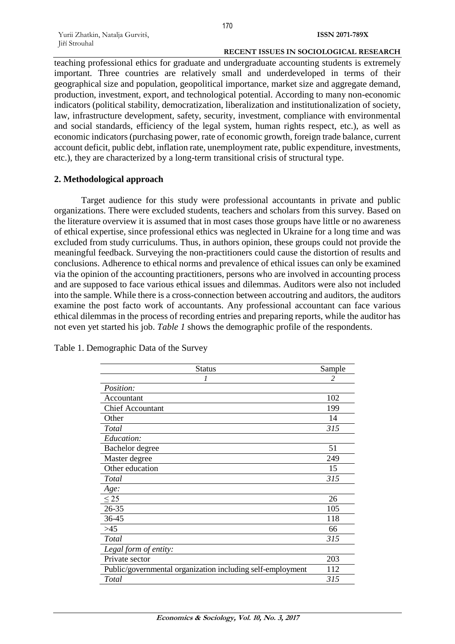teaching professional ethics for graduate and undergraduate accounting students is extremely important. Three countries are relatively small and underdeveloped in terms of their geographical size and population, geopolitical importance, market size and aggregate demand, production, investment, export, and technological potential. According to many non-economic indicators (political stability, democratization, liberalization and institutionalization of society, law, infrastructure development, safety, security, investment, compliance with environmental and social standards, efficiency of the legal system, human rights respect, etc.), as well as economic indicators (purchasing power, rate of economic growth, foreign trade balance, current account deficit, public debt, inflation rate, unemployment rate, public expenditure, investments, etc.), they are characterized by a long-term transitional crisis of structural type.

## **2. Methodological approach**

Target audience for this study were professional accountants in private and public organizations. There were excluded students, teachers and scholars from this survey. Based on the literature overview it is assumed that in most cases those groups have little or no awareness of ethical expertise, since professional ethics was neglected in Ukraine for a long time and was excluded from study curriculums. Thus, in authors opinion, these groups could not provide the meaningful feedback. Surveying the non-practitioners could cause the distortion of results and conclusions. Adherence to ethical norms and prevalence of ethical issues can only be examined via the opinion of the accounting practitioners, persons who are involved in accounting process and are supposed to face various ethical issues and dilemmas. Auditors were also not included into the sample. While there is a cross-connection between accoutring and auditors, the auditors examine the post facto work of accountants. Any professional accountant can face various ethical dilemmas in the process of recording entries and preparing reports, while the auditor has not even yet started his job. *Table 1* shows the demographic profile of the respondents.

| <b>Status</b>                                              | Sample                   |
|------------------------------------------------------------|--------------------------|
| 1                                                          | $\overline{\mathcal{L}}$ |
| Position:                                                  |                          |
| Accountant                                                 | 102                      |
| <b>Chief Accountant</b>                                    | 199                      |
| Other                                                      | 14                       |
| Total                                                      | 315                      |
| Education:                                                 |                          |
| Bachelor degree                                            | 51                       |
| Master degree                                              | 249                      |
| Other education                                            | 15                       |
| Total                                                      | 315                      |
| Age:                                                       |                          |
| $\leq$ 25                                                  | 26                       |
| 26-35                                                      | 105                      |
| 36-45                                                      | 118                      |
| $>45$                                                      | 66                       |
| Total                                                      | 315                      |
| Legal form of entity:                                      |                          |
| Private sector                                             | 203                      |
| Public/governmental organization including self-employment | 112                      |
| Total                                                      | 315                      |

Table 1. Demographic Data of the Survey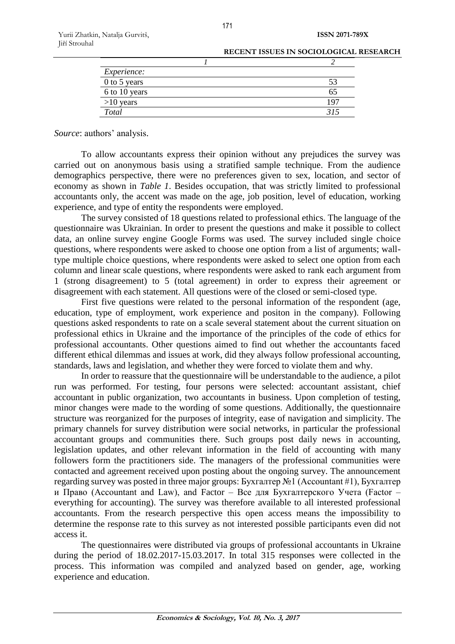| RECENT ISSUES IN SOCIOLOGICAL RESEARCH |
|----------------------------------------|
|                                        |

| Experience:   |     |
|---------------|-----|
| 0 to 5 years  | 53  |
| 6 to 10 years | 65  |
| $>10$ years   | 197 |
| Total         |     |
|               |     |

*Source*: authors' analysis.

To allow accountants express their opinion without any prejudices the survey was carried out on anonymous basis using a stratified sample technique. From the audience demographics perspective, there were no preferences given to sex, location, and sector of economy as shown in *Table 1*. Besides occupation, that was strictly limited to professional accountants only, the accent was made on the age, job position, level of education, working experience, and type of entity the respondents were employed.

The survey consisted of 18 questions related to professional ethics. The language of the questionnaire was Ukrainian. In order to present the questions and make it possible to collect data, an online survey engine Google Forms was used. The survey included single choice questions, where respondents were asked to choose one option from a list of arguments; walltype multiple choice questions, where respondents were asked to select one option from each column and linear scale questions, where respondents were asked to rank each argument from 1 (strong disagreement) to 5 (total agreement) in order to express their agreement or disagreement with each statement. All questions were of the closed or semi-closed type.

First five questions were related to the personal information of the respondent (age, education, type of employment, work experience and positon in the company). Following questions asked respondents to rate on a scale several statement about the current situation on professional ethics in Ukraine and the importance of the principles of the code of ethics for professional accountants. Other questions aimed to find out whether the accountants faced different ethical dilemmas and issues at work, did they always follow professional accounting, standards, laws and legislation, and whether they were forced to violate them and why.

In order to reassure that the questionnaire will be understandable to the audience, a pilot run was performed. For testing, four persons were selected: accountant assistant, chief accountant in public organization, two accountants in business. Upon completion of testing, minor changes were made to the wording of some questions. Additionally, the questionnaire structure was reorganized for the purposes of integrity, ease of navigation and simplicity. The primary channels for survey distribution were social networks, in particular the professional accountant groups and communities there. Such groups post daily news in accounting, legislation updates, and other relevant information in the field of accounting with many followers form the practitioners side. The managers of the professional communities were contacted and agreement received upon posting about the ongoing survey. The announcement regarding survey was posted in three major groups: Бухгалтер №1 (Accountant #1), Бухгалтер и Право (Accountant and Law), and Factor – Все для Бухгалтерского Учета (Factor – everything for accounting). The survey was therefore available to all interested professional accountants. From the research perspective this open access means the impossibility to determine the response rate to this survey as not interested possible participants even did not access it.

The questionnaires were distributed via groups of professional accountants in Ukraine during the period of 18.02.2017-15.03.2017. In total 315 responses were collected in the process. This information was compiled and analyzed based on gender, age, working experience and education.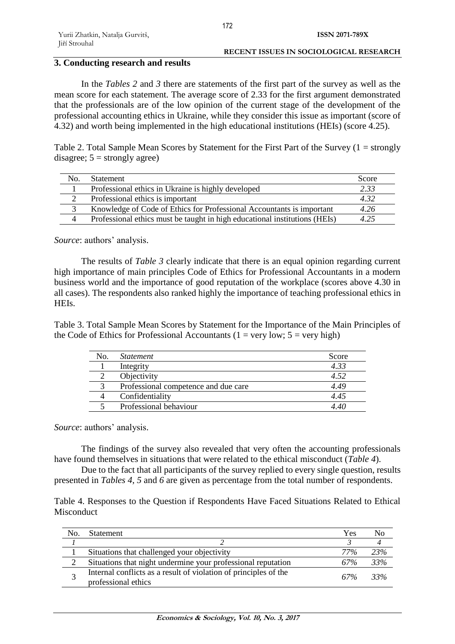# **3. Conducting research and results**

In the *Tables 2* and *3* there are statements of the first part of the survey as well as the mean score for each statement. The average score of 2.33 for the first argument demonstrated that the professionals are of the low opinion of the current stage of the development of the professional accounting ethics in Ukraine, while they consider this issue as important (score of 4.32) and worth being implemented in the high educational institutions (HEIs) (score 4.25).

Table 2. Total Sample Mean Scores by Statement for the First Part of the Survey  $(1 = \text{strongly})$ disagree;  $5 =$  strongly agree)

| Nο. | <b>Statement</b>                                                           | Score |
|-----|----------------------------------------------------------------------------|-------|
|     | Professional ethics in Ukraine is highly developed                         | 2.33  |
|     | Professional ethics is important                                           | 4.32  |
|     | Knowledge of Code of Ethics for Professional Accountants is important      | 4.26  |
|     | Professional ethics must be taught in high educational institutions (HEIs) | 495   |

*Source*: authors' analysis.

The results of *Table 3* clearly indicate that there is an equal opinion regarding current high importance of main principles Code of Ethics for Professional Accountants in a modern business world and the importance of good reputation of the workplace (scores above 4.30 in all cases). The respondents also ranked highly the importance of teaching professional ethics in HEIs.

Table 3. Total Sample Mean Scores by Statement for the Importance of the Main Principles of the Code of Ethics for Professional Accountants (1 = very low;  $5 = \text{very high}$ )

| No. | <i>Statement</i>                     | Score |
|-----|--------------------------------------|-------|
|     | Integrity                            | 4.33  |
|     | Objectivity                          | 4.52  |
|     | Professional competence and due care | 4.49  |
|     | Confidentiality                      | 4.45  |
|     | Professional behaviour               |       |

*Source*: authors' analysis.

The findings of the survey also revealed that very often the accounting professionals have found themselves in situations that were related to the ethical misconduct (*Table 4*).

Due to the fact that all participants of the survey replied to every single question, results presented in *Tables 4*, *5* and *6* are given as percentage from the total number of respondents.

Table 4. Responses to the Question if Respondents Have Faced Situations Related to Ethical **Misconduct** 

| No. | <b>Statement</b>                                                                        | Yes | NΩ  |
|-----|-----------------------------------------------------------------------------------------|-----|-----|
|     |                                                                                         |     |     |
|     | Situations that challenged your objectivity                                             | 77% | 23% |
| 2   | Situations that night undermine your professional reputation                            | 67% | 33% |
| C.  | Internal conflicts as a result of violation of principles of the<br>professional ethics | 67% | 33% |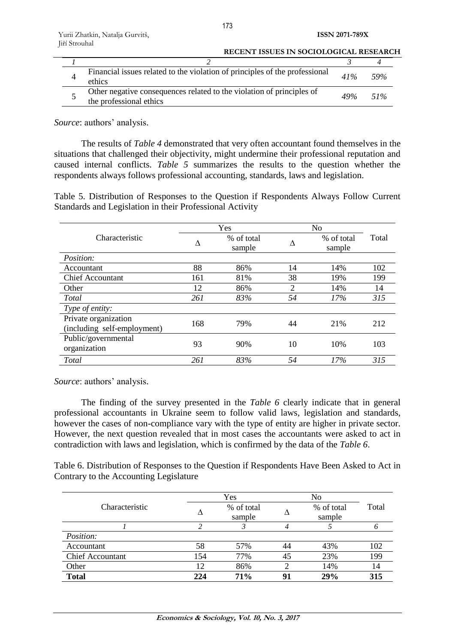| <b>RECENT ISSUES IN SOCIOLOGICAL RESEARCH</b>                                                    |        |      |
|--------------------------------------------------------------------------------------------------|--------|------|
|                                                                                                  |        |      |
| Financial issues related to the violation of principles of the professional<br>ethics            | 41%    | 59%  |
| Other negative consequences related to the violation of principles of<br>the professional ethics | $49\%$ | 51\% |

*Source*: authors' analysis.

The results of *Table 4* demonstrated that very often accountant found themselves in the situations that challenged their objectivity, might undermine their professional reputation and caused internal conflicts. *Table 5* summarizes the results to the question whether the respondents always follows professional accounting, standards, laws and legislation.

Table 5. Distribution of Responses to the Question if Respondents Always Follow Current Standards and Legislation in their Professional Activity

|                                                     | Yes |                      | N <sub>o</sub> |                      |       |  |
|-----------------------------------------------------|-----|----------------------|----------------|----------------------|-------|--|
| Characteristic                                      | Δ   | % of total<br>sample | Λ              | % of total<br>sample | Total |  |
| Position:                                           |     |                      |                |                      |       |  |
| Accountant                                          | 88  | 86%                  | 14             | 14%                  | 102   |  |
| <b>Chief Accountant</b>                             | 161 | 81%                  | 38             | 19%                  | 199   |  |
| Other                                               | 12  | 86%                  | $\overline{2}$ | 14%                  | 14    |  |
| Total                                               | 261 | 83%                  | 54             | 17%                  | 315   |  |
| Type of entity:                                     |     |                      |                |                      |       |  |
| Private organization<br>(including self-employment) | 168 | 79%                  | 44             | 21%                  | 212   |  |
| Public/governmental<br>organization                 | 93  | 90%                  | 10             | 10%                  | 103   |  |
| Total                                               | 261 | 83%                  | 54             | 17%                  | 315   |  |

*Source*: authors' analysis.

The finding of the survey presented in the *Table 6* clearly indicate that in general professional accountants in Ukraine seem to follow valid laws, legislation and standards, however the cases of non-compliance vary with the type of entity are higher in private sector. However, the next question revealed that in most cases the accountants were asked to act in contradiction with laws and legislation, which is confirmed by the data of the *Table 6*.

Table 6. Distribution of Responses to the Question if Respondents Have Been Asked to Act in Contrary to the Accounting Legislature

|                         | Yes |            |    | No         |       |  |
|-------------------------|-----|------------|----|------------|-------|--|
| Characteristic          |     | % of total |    | % of total | Total |  |
|                         |     | sample     |    | sample     |       |  |
|                         |     |            |    |            |       |  |
| <i>Position:</i>        |     |            |    |            |       |  |
| Accountant              | 58  | 57%        | 44 | 43%        | 102   |  |
| <b>Chief Accountant</b> | 154 | 77%        | 45 | 23%        | 199   |  |
| Other                   | 12  | 86%        |    | 14%        | 14    |  |
| <b>Total</b>            | 224 | <b>71%</b> | 91 | 29%        | 315   |  |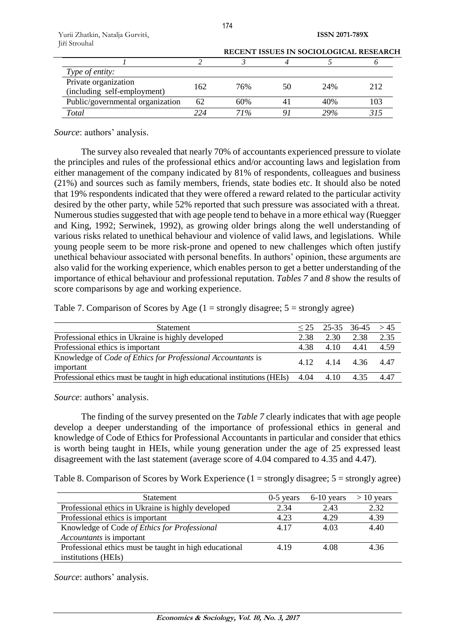| Yurii Zhatkin, Natalja Gurvitš, |  |
|---------------------------------|--|
| Jiří Strouhal                   |  |

|                                                     |      |     |    |     | RECENT ISSUES IN SOCIOLOGICAL RESEARCH |
|-----------------------------------------------------|------|-----|----|-----|----------------------------------------|
|                                                     |      |     |    |     |                                        |
| Type of entity:                                     |      |     |    |     |                                        |
| Private organization<br>(including self-employment) | 162  | 76% | 50 | 24% | 212                                    |
| Public/governmental organization                    | 62   | 60% |    | 40% |                                        |
| Total                                               | 22 A | 71% |    | 29% |                                        |

*Source*: authors' analysis.

The survey also revealed that nearly 70% of accountants experienced pressure to violate the principles and rules of the professional ethics and/or accounting laws and legislation from either management of the company indicated by 81% of respondents, colleagues and business (21%) and sources such as family members, friends, state bodies etc. It should also be noted that 19% respondents indicated that they were offered a reward related to the particular activity desired by the other party, while 52% reported that such pressure was associated with a threat. Numerous studies suggested that with age people tend to behave in a more ethical way (Ruegger and King, 1992; Serwinek, 1992), as growing older brings along the well understanding of various risks related to unethical behaviour and violence of valid laws, and legislations. While young people seem to be more risk-prone and opened to new challenges which often justify unethical behaviour associated with personal benefits. In authors' opinion, these arguments are also valid for the working experience, which enables person to get a better understanding of the importance of ethical behaviour and professional reputation. *Tables 7* and *8* show the results of score comparisons by age and working experience.

Table 7. Comparison of Scores by Age  $(1 =$  strongly disagree;  $5 =$  strongly agree)

| <b>Statement</b>                                                           |      | $\leq$ 25 - 25 - 35 - 36 - 45 > 45 |      |      |
|----------------------------------------------------------------------------|------|------------------------------------|------|------|
| Professional ethics in Ukraine is highly developed                         | 2.38 | 2.30                               | 2.38 | 2.35 |
| Professional ethics is important                                           | 438  | 4.10                               | 4.41 | 4.59 |
| Knowledge of <i>Code of Ethics for Professional Accountants</i> is         |      | 4.12 4.14 4.36 4.47                |      |      |
| important                                                                  |      |                                    |      |      |
| Professional ethics must be taught in high educational institutions (HEIs) | 4.04 | 4.10                               | 4.35 | 4.47 |
|                                                                            |      |                                    |      |      |

*Source*: authors' analysis.

The finding of the survey presented on the *Table 7* clearly indicates that with age people develop a deeper understanding of the importance of professional ethics in general and knowledge of Code of Ethics for Professional Accountants in particular and consider that ethics is worth being taught in HEIs, while young generation under the age of 25 expressed least disagreement with the last statement (average score of 4.04 compared to 4.35 and 4.47).

|  |  |  | Table 8. Comparison of Scores by Work Experience $(1 =$ strongly disagree; $5 =$ strongly agree) |  |  |  |
|--|--|--|--------------------------------------------------------------------------------------------------|--|--|--|
|--|--|--|--------------------------------------------------------------------------------------------------|--|--|--|

| <b>Statement</b>                                       | $0-5$ years | $6-10$ years | $> 10$ years |
|--------------------------------------------------------|-------------|--------------|--------------|
| Professional ethics in Ukraine is highly developed     | 2.34        | 2.43         | 2.32         |
| Professional ethics is important                       | 4.23        | 4.29         | 4.39         |
| Knowledge of Code of Ethics for Professional           | 4.17        | 4.03         | 4.40         |
| <i>Accountants</i> is important                        |             |              |              |
| Professional ethics must be taught in high educational | 4.19        | 4.08         | 4.36         |
| institutions (HEIs)                                    |             |              |              |

*Source*: authors' analysis.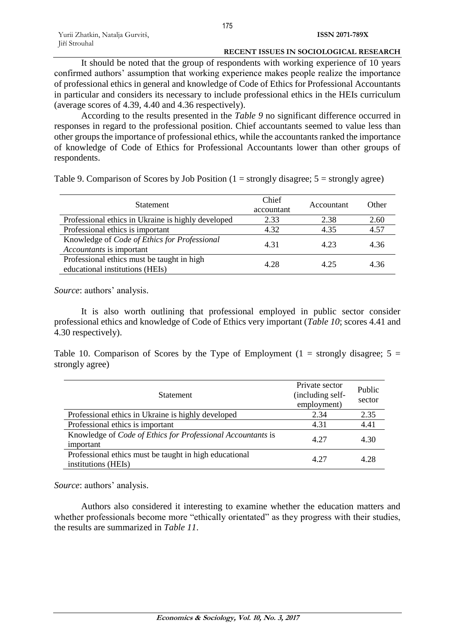It should be noted that the group of respondents with working experience of 10 years confirmed authors' assumption that working experience makes people realize the importance of professional ethics in general and knowledge of Code of Ethics for Professional Accountants in particular and considers its necessary to include professional ethics in the HEIs curriculum (average scores of 4.39, 4.40 and 4.36 respectively).

According to the results presented in the *Table 9* no significant difference occurred in responses in regard to the professional position. Chief accountants seemed to value less than other groups the importance of professional ethics, while the accountants ranked the importance of knowledge of Code of Ethics for Professional Accountants lower than other groups of respondents.

Table 9. Comparison of Scores by Job Position  $(1 = \text{strongly disagree}; 5 = \text{strongly agree})$ 

| <b>Statement</b>                                                              | Chief<br>accountant | Accountant | Other |
|-------------------------------------------------------------------------------|---------------------|------------|-------|
| Professional ethics in Ukraine is highly developed                            | 2.33                | 2.38       | 2.60  |
| Professional ethics is important                                              | 4.32                | 4.35       | 4.57  |
| Knowledge of Code of Ethics for Professional<br>Accountants is important      | 4.31                | 4.23       | 4.36  |
| Professional ethics must be taught in high<br>educational institutions (HEIs) | 4.28                | 4.25       | 4.36  |

*Source*: authors' analysis.

It is also worth outlining that professional employed in public sector consider professional ethics and knowledge of Code of Ethics very important (*Table 10*; scores 4.41 and 4.30 respectively).

Table 10. Comparison of Scores by the Type of Employment (1 = strongly disagree;  $5 =$ strongly agree)

| <b>Statement</b>                                                                | Private sector<br>(including self-<br>employment) | Public<br>sector |
|---------------------------------------------------------------------------------|---------------------------------------------------|------------------|
| Professional ethics in Ukraine is highly developed                              | 2.34                                              | 2.35             |
| Professional ethics is important                                                | 4.31                                              | 4.41             |
| Knowledge of <i>Code of Ethics for Professional Accountants</i> is<br>important | 4.27                                              | 4.30             |
| Professional ethics must be taught in high educational<br>institutions (HEIs)   | 4.27                                              | 4.28             |

*Source*: authors' analysis.

Authors also considered it interesting to examine whether the education matters and whether professionals become more "ethically orientated" as they progress with their studies, the results are summarized in *Table 11*.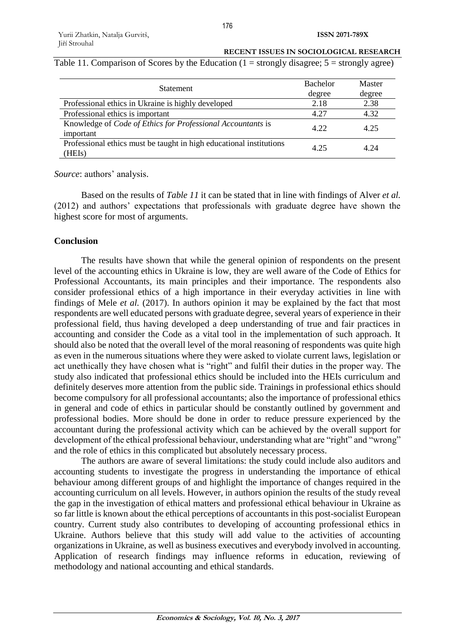| <b>Statement</b>                                                                | <b>Bachelor</b> | Master |
|---------------------------------------------------------------------------------|-----------------|--------|
|                                                                                 | degree          | degree |
| Professional ethics in Ukraine is highly developed                              | 2.18            | 2.38   |
| Professional ethics is important                                                | 4.27            | 4.32   |
| Knowledge of <i>Code of Ethics for Professional Accountants</i> is<br>important | 4.22            | 4.25   |
| Professional ethics must be taught in high educational institutions<br>(HEIs)   | 4.25            | 4 24   |

Table 11. Comparison of Scores by the Education  $(1 = \text{strongly disagree}; 5 = \text{strongly agree})$ 

*Source*: authors' analysis.

Based on the results of *Table 11* it can be stated that in line with findings of Alver *et al.* (2012) and authors' expectations that professionals with graduate degree have shown the highest score for most of arguments.

## **Conclusion**

The results have shown that while the general opinion of respondents on the present level of the accounting ethics in Ukraine is low, they are well aware of the Code of Ethics for Professional Accountants, its main principles and their importance. The respondents also consider professional ethics of a high importance in their everyday activities in line with findings of Mele *et al.* (2017). In authors opinion it may be explained by the fact that most respondents are well educated persons with graduate degree, several years of experience in their professional field, thus having developed a deep understanding of true and fair practices in accounting and consider the Code as a vital tool in the implementation of such approach. It should also be noted that the overall level of the moral reasoning of respondents was quite high as even in the numerous situations where they were asked to violate current laws, legislation or act unethically they have chosen what is "right" and fulfil their duties in the proper way. The study also indicated that professional ethics should be included into the HEIs curriculum and definitely deserves more attention from the public side. Trainings in professional ethics should become compulsory for all professional accountants; also the importance of professional ethics in general and code of ethics in particular should be constantly outlined by government and professional bodies. More should be done in order to reduce pressure experienced by the accountant during the professional activity which can be achieved by the overall support for development of the ethical professional behaviour, understanding what are "right" and "wrong" and the role of ethics in this complicated but absolutely necessary process.

The authors are aware of several limitations: the study could include also auditors and accounting students to investigate the progress in understanding the importance of ethical behaviour among different groups of and highlight the importance of changes required in the accounting curriculum on all levels. However, in authors opinion the results of the study reveal the gap in the investigation of ethical matters and professional ethical behaviour in Ukraine as so far little is known about the ethical perceptions of accountants in this post-socialist European country. Current study also contributes to developing of accounting professional ethics in Ukraine. Authors believe that this study will add value to the activities of accounting organizations in Ukraine, as well as business executives and everybody involved in accounting. Application of research findings may influence reforms in education, reviewing of methodology and national accounting and ethical standards.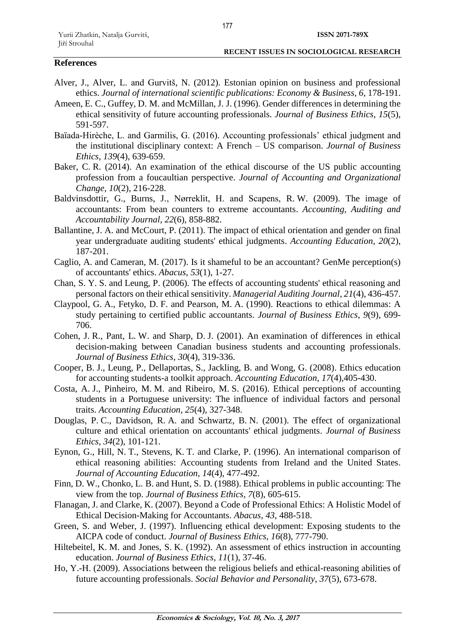## **References**

- Alver, J., Alver, L. and Gurvitš, N. (2012). Estonian opinion on business and professional ethics. *Journal of international scientific publications: Economy & Business*, *6*, 178-191.
- Ameen, E. C., Guffey, D. M. and McMillan, J. J. (1996). Gender differences in determining the ethical sensitivity of future accounting professionals. *Journal of Business Ethics*, *15*(5), 591-597.
- Baïada-Hirèche, L. and Garmilis, G. (2016). Accounting professionals' ethical judgment and the institutional disciplinary context: A French – US comparison. *Journal of Business Ethics*, *139*(4), 639-659.
- Baker, C. R. (2014). An examination of the ethical discourse of the US public accounting profession from a foucaultian perspective. *Journal of Accounting and Organizational Change*, *10*(2), 216-228.
- Baldvinsdottir, G., Burns, J., Nørreklit, H. and Scapens, R. W. (2009). The image of accountants: From bean counters to extreme accountants. *Accounting, Auditing and Accountability Journal*, *22*(6), 858-882.
- Ballantine, J. A. and McCourt, P. (2011). The impact of ethical orientation and gender on final year undergraduate auditing students' ethical judgments. *Accounting Education*, *20*(2), 187-201.
- Caglio, A. and Cameran, M. (2017). Is it shameful to be an accountant? GenMe perception(s) of accountants' ethics. *Abacus*, *53*(1), 1-27.
- Chan, S. Y. S. and Leung, P. (2006). The effects of accounting students' ethical reasoning and personal factors on their ethical sensitivity. *Managerial Auditing Journal*, *21*(4), 436-457.
- Claypool, G. A., Fetyko, D. F. and Pearson, M. A. (1990). Reactions to ethical dilemmas: A study pertaining to certified public accountants. *Journal of Business Ethics*, *9*(9), 699- 706.
- Cohen, J. R., Pant, L. W. and Sharp, D. J. (2001). An examination of differences in ethical decision-making between Canadian business students and accounting professionals. *Journal of Business Ethics*, *30*(4), 319-336.
- Cooper, B. J., Leung, P., Dellaportas, S., Jackling, B. and Wong, G. (2008). Ethics education for accounting students-a toolkit approach. *Accounting Education*, *17*(4),405-430.
- Costa, A. J., Pinheiro, M. M. and Ribeiro, M. S. (2016). Ethical perceptions of accounting students in a Portuguese university: The influence of individual factors and personal traits. *Accounting Education*, *25*(4), 327-348.
- Douglas, P. C., Davidson, R. A. and Schwartz, B. N. (2001). The effect of organizational culture and ethical orientation on accountants' ethical judgments. *Journal of Business Ethics*, *34*(2), 101-121.
- Eynon, G., Hill, N. T., Stevens, K. T. and Clarke, P. (1996). An international comparison of ethical reasoning abilities: Accounting students from Ireland and the United States. *Journal of Accounting Education*, *14*(4), 477-492.
- Finn, D. W., Chonko, L. B. and Hunt, S. D. (1988). Ethical problems in public accounting: The view from the top. *Journal of Business Ethics*, *7*(8), 605-615.
- Flanagan, J. and Clarke, K. (2007). Beyond a Code of Professional Ethics: A Holistic Model of Ethical Decision-Making for Accountants. *Abacus*, *43*, 488-518.
- Green, S. and Weber, J. (1997). Influencing ethical development: Exposing students to the AICPA code of conduct. *Journal of Business Ethics*, *16*(8), 777-790.
- Hiltebeitel, K. M. and Jones, S. K. (1992). An assessment of ethics instruction in accounting education. *Journal of Business Ethics*, *11*(1), 37-46.
- Ho, Y.-H. (2009). Associations between the religious beliefs and ethical-reasoning abilities of future accounting professionals. *Social Behavior and Personality*, *37*(5), 673-678.